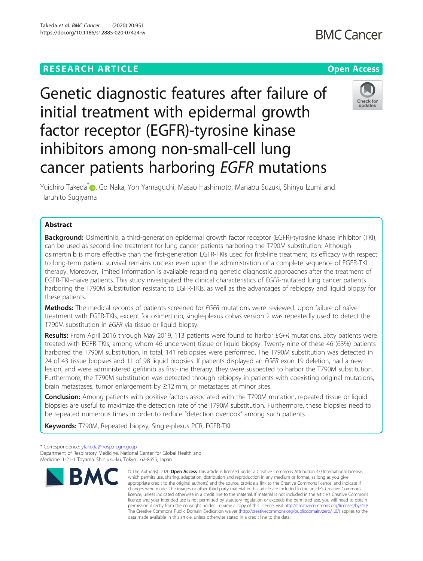# **RESEARCH ARTICLE Example 2014 12:30 The Contract of Contract Contract Contract Contract Contract Contract Contract Contract Contract Contract Contract Contract Contract Contract Contract Contract Contract Contract Contr**

# Genetic diagnostic features after failure of initial treatment with epidermal growth factor receptor (EGFR)-tyrosine kinase inhibitors among non-small-cell lung cancer patients harboring EGFR mutations

Yuichiro Takeda<sup>\*</sup> [,](http://orcid.org/0000-0002-1412-646X) Go Naka, Yoh Yamaguchi, Masao Hashimoto, Manabu Suzuki, Shinyu Izumi and Haruhito Sugiyama

# Abstract

Background: Osimertinib, a third-generation epidermal growth factor receptor (EGFR)-tyrosine kinase inhibitor (TKI), can be used as second-line treatment for lung cancer patients harboring the T790M substitution. Although osimertinib is more effective than the first-generation EGFR-TKIs used for first-line treatment, its efficacy with respect to long-term patient survival remains unclear even upon the administration of a complete sequence of EGFR-TKI therapy. Moreover, limited information is available regarding genetic diagnostic approaches after the treatment of EGFR-TKI–naïve patients. This study investigated the clinical characteristics of EGFR-mutated lung cancer patients harboring the T790M substitution resistant to EGFR-TKIs, as well as the advantages of rebiopsy and liquid biopsy for these patients.

Methods: The medical records of patients screened for EGFR mutations were reviewed. Upon failure of naïve treatment with EGFR-TKIs, except for osimertinib, single-plexus cobas version 2 was repeatedly used to detect the T790M substitution in EGFR via tissue or liquid biopsy.

Results: From April 2016 through May 2019, 113 patients were found to harbor EGFR mutations. Sixty patients were treated with EGFR-TKIs, among whom 46 underwent tissue or liquid biopsy. Twenty-nine of these 46 (63%) patients harbored the T790M substitution. In total, 141 rebiopsies were performed. The T790M substitution was detected in 24 of 43 tissue biopsies and 11 of 98 liquid biopsies. If patients displayed an EGFR exon 19 deletion, had a new lesion, and were administered gefitinib as first-line therapy, they were suspected to harbor the T790M substitution. Furthermore, the T790M substitution was detected through rebiopsy in patients with coexisting original mutations, brain metastases, tumor enlargement by ≥12 mm, or metastases at minor sites.

Conclusion: Among patients with positive factors associated with the T790M mutation, repeated tissue or liquid biopsies are useful to maximize the detection rate of the T790M substitution. Furthermore, these biopsies need to be repeated numerous times in order to reduce "detection overlook" among such patients.

Keywords: T790M, Repeated biopsy, Single-plexus PCR, EGFR-TKI

\* Correspondence: [ytakeda@hosp.ncgm.go.jp](mailto:ytakeda@hosp.ncgm.go.jp) Department of Respiratory Medicine, National Center for Global Health and Medicine, 1-21-1 Toyama, Shinjuku-ku, Tokyo 162-8655, Japan

# Takeda et al. BMC Cancer (2020) 20:951 https://doi.org/10.1186/s12885-020-07424-w



<sup>©</sup> The Author(s), 2020 **Open Access** This article is licensed under a Creative Commons Attribution 4.0 International License, which permits use, sharing, adaptation, distribution and reproduction in any medium or format, as long as you give appropriate credit to the original author(s) and the source, provide a link to the Creative Commons licence, and indicate if changes were made. The images or other third party material in this article are included in the article's Creative Commons licence, unless indicated otherwise in a credit line to the material. If material is not included in the article's Creative Commons licence and your intended use is not permitted by statutory regulation or exceeds the permitted use, you will need to obtain permission directly from the copyright holder. To view a copy of this licence, visit [http://creativecommons.org/licenses/by/4.0/.](http://creativecommons.org/licenses/by/4.0/) The Creative Commons Public Domain Dedication waiver [\(http://creativecommons.org/publicdomain/zero/1.0/](http://creativecommons.org/publicdomain/zero/1.0/)) applies to the data made available in this article, unless otherwise stated in a credit line to the data.



Check for undates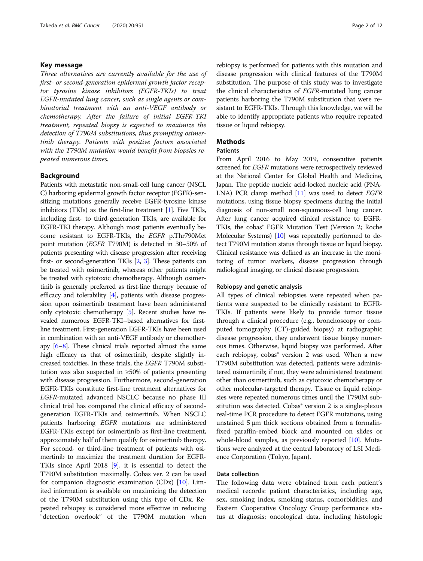## Key message

Three alternatives are currently available for the use of first- or second-generation epidermal growth factor receptor tyrosine kinase inhibitors (EGFR-TKIs) to treat EGFR-mutated lung cancer, such as single agents or combinatorial treatment with an anti-VEGF antibody or chemotherapy. After the failure of initial EGFR-TKI treatment, repeated biopsy is expected to maximize the detection of T790M substitutions, thus prompting osimertinib therapy. Patients with positive factors associated with the T790M mutation would benefit from biopsies repeated numerous times.

## **Background**

Patients with metastatic non-small-cell lung cancer (NSCL C) harboring epidermal growth factor receptor (EGFR)-sensitizing mutations generally receive EGFR-tyrosine kinase inhibitors (TKIs) as the first-line treatment [\[1\]](#page-10-0). Five TKIs, including first- to third-generation TKIs, are available for EGFR-TKI therapy. Although most patients eventually become resistant to EGFR-TKIs, the EGFR p.Thr790Met point mutation (EGFR T790M) is detected in 30–50% of patients presenting with disease progression after receiving first- or second-generation TKIs [\[2,](#page-10-0) [3](#page-10-0)]. These patients can be treated with osimertinib, whereas other patients might be treated with cytotoxic chemotherapy. Although osimertinib is generally preferred as first-line therapy because of efficacy and tolerability [[4](#page-10-0)], patients with disease progression upon osimertinib treatment have been administered only cytotoxic chemotherapy [[5](#page-10-0)]. Recent studies have revealed numerous EGFR-TKI–based alternatives for firstline treatment. First-generation EGFR-TKIs have been used in combination with an anti-VEGF antibody or chemotherapy [[6](#page-10-0)–[8\]](#page-11-0). These clinical trials reported almost the same high efficacy as that of osimertinib, despite slightly increased toxicities. In these trials, the EGFR T790M substitution was also suspected in ≥50% of patients presenting with disease progression. Furthermore, second-generation EGFR-TKIs constitute first-line treatment alternatives for EGFR-mutated advanced NSCLC because no phase III clinical trial has compared the clinical efficacy of secondgeneration EGFR-TKIs and osimertinib. When NSCLC patients harboring EGFR mutations are administered EGFR-TKIs except for osimertinib as first-line treatment, approximately half of them qualify for osimertinib therapy. For second- or third-line treatment of patients with osimertinib to maximize the treatment duration for EGFR-TKIs since April 2018 [[9\]](#page-11-0), it is essential to detect the T790M substitution maximally. Cobas ver. 2 can be used for companion diagnostic examination (CDx) [[10\]](#page-11-0). Limited information is available on maximizing the detection of the T790M substitution using this type of CDx. Repeated rebiopsy is considered more effective in reducing "detection overlook" of the T790M mutation when

rebiopsy is performed for patients with this mutation and disease progression with clinical features of the T790M substitution. The purpose of this study was to investigate the clinical characteristics of EGFR-mutated lung cancer patients harboring the T790M substitution that were resistant to EGFR-TKIs. Through this knowledge, we will be able to identify appropriate patients who require repeated tissue or liquid rebiopsy.

# **Methods**

### Patients

From April 2016 to May 2019, consecutive patients screened for EGFR mutations were retrospectively reviewed at the National Center for Global Health and Medicine, Japan. The peptide nucleic acid-locked nucleic acid (PNA-LNA) PCR clamp method [\[11\]](#page-11-0) was used to detect EGFR mutations, using tissue biopsy specimens during the initial diagnosis of non-small non-squamous-cell lung cancer. After lung cancer acquired clinical resistance to EGFR-TKIs, the cobas® EGFR Mutation Test (Version 2; Roche Molecular Systems) [\[10](#page-11-0)] was repeatedly performed to detect T790M mutation status through tissue or liquid biopsy. Clinical resistance was defined as an increase in the monitoring of tumor markers, disease progression through radiological imaging, or clinical disease progression.

#### Rebiopsy and genetic analysis

All types of clinical rebiopsies were repeated when patients were suspected to be clinically resistant to EGFR-TKIs. If patients were likely to provide tumor tissue through a clinical procedure (e.g., bronchoscopy or computed tomography (CT)-guided biopsy) at radiographic disease progression, they underwent tissue biopsy numerous times. Otherwise, liquid biopsy was performed. After each rebiopsy, cobas® version 2 was used. When a new T790M substitution was detected, patients were administered osimertinib; if not, they were administered treatment other than osimertinib, such as cytotoxic chemotherapy or other molecular-targeted therapy. Tissue or liquid rebiopsies were repeated numerous times until the T790M substitution was detected. Cobas® version 2 is a single-plexus real-time PCR procedure to detect EGFR mutations, using unstained 5 μm thick sections obtained from a formalinfixed paraffin-embed block and mounted on slides or whole-blood samples, as previously reported [[10](#page-11-0)]. Mutations were analyzed at the central laboratory of LSI Medience Corporation (Tokyo, Japan).

#### Data collection

The following data were obtained from each patient's medical records: patient characteristics, including age, sex, smoking index, smoking status, comorbidities, and Eastern Cooperative Oncology Group performance status at diagnosis; oncological data, including histologic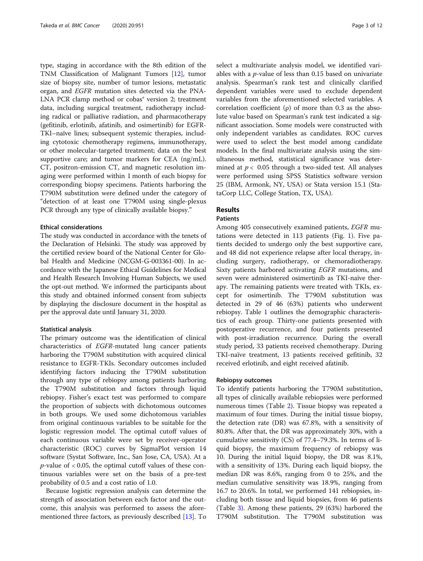type, staging in accordance with the 8th edition of the TNM Classification of Malignant Tumors [[12\]](#page-11-0), tumor size of biopsy site, number of tumor lesions, metastatic organ, and EGFR mutation sites detected via the PNA-LNA PCR clamp method or cobas<sup>®</sup> version 2; treatment data, including surgical treatment, radiotherapy including radical or palliative radiation, and pharmacotherapy (gefitinib, erlotinib, afatinib, and osimertinib) for EGFR-TKI–naïve lines; subsequent systemic therapies, including cytotoxic chemotherapy regimens, immunotherapy, or other molecular-targeted treatment; data on the best supportive care; and tumor markers for CEA (ng/mL). CT, positron-emission CT, and magnetic resolution imaging were performed within 1 month of each biopsy for corresponding biopsy specimens. Patients harboring the T790M substitution were defined under the category of "detection of at least one T790M using single-plexus PCR through any type of clinically available biopsy."

#### Ethical considerations

The study was conducted in accordance with the tenets of the Declaration of Helsinki. The study was approved by the certified review board of the National Center for Global Health and Medicine (NCGM-G-003361-00). In accordance with the Japanese Ethical Guidelines for Medical and Health Research Involving Human Subjects, we used the opt-out method. We informed the participants about this study and obtained informed consent from subjects by displaying the disclosure document in the hospital as per the approval date until January 31, 2020.

#### Statistical analysis

The primary outcome was the identification of clinical characteristics of EGFR-mutated lung cancer patients harboring the T790M substitution with acquired clinical resistance to EGFR-TKIs. Secondary outcomes included identifying factors inducing the T790M substitution through any type of rebiopsy among patients harboring the T790M substitution and factors through liquid rebiopsy. Fisher's exact test was performed to compare the proportion of subjects with dichotomous outcomes in both groups. We used some dichotomous variables from original continuous variables to be suitable for the logistic regression model. The optimal cutoff values of each continuous variable were set by receiver-operator characteristic (ROC) curves by SigmaPlot version 14 software (Systat Software, Inc., San Jose, CA, USA). At a  $p$ -value of  $< 0.05$ , the optimal cutoff values of these continuous variables were set on the basis of a pre-test probability of 0.5 and a cost ratio of 1.0.

Because logistic regression analysis can determine the strength of association between each factor and the outcome, this analysis was performed to assess the aforementioned three factors, as previously described [[13\]](#page-11-0). To select a multivariate analysis model, we identified variables with a p-value of less than 0.15 based on univariate analysis. Spearman's rank test and clinically clarified dependent variables were used to exclude dependent variables from the aforementioned selected variables. A correlation coefficient (ρ) of more than 0.3 as the absolute value based on Spearman's rank test indicated a significant association. Some models were constructed with only independent variables as candidates. ROC curves were used to select the best model among candidate models. In the final multivariate analysis using the simultaneous method, statistical significance was determined at  $p < 0.05$  through a two-sided test. All analyses were performed using SPSS Statistics software version 25 (IBM, Armonk, NY, USA) or Stata version 15.1 (StataCorp LLC, College Station, TX, USA).

## Results

#### Patients

Among 405 consecutively examined patients, EGFR mutations were detected in 113 patients (Fig. [1\)](#page-3-0). Five patients decided to undergo only the best supportive care, and 48 did not experience relapse after local therapy, including surgery, radiotherapy, or chemoradiotherapy. Sixty patients harbored activating EGFR mutations, and seven were administered osimertinib as TKI-naïve therapy. The remaining patients were treated with TKIs, except for osimertinib. The T790M substitution was detected in 29 of 46 (63%) patients who underwent rebiopsy. Table [1](#page-4-0) outlines the demographic characteristics of each group. Thirty-one patients presented with postoperative recurrence, and four patients presented with post-irradiation recurrence. During the overall study period, 33 patients received chemotherapy. During TKI-naïve treatment, 13 patients received gefitinib, 32 received erlotinib, and eight received afatinib.

#### Rebiopsy outcomes

To identify patients harboring the T790M substitution, all types of clinically available rebiopsies were performed numerous times (Table [2](#page-5-0)). Tissue biopsy was repeated a maximum of four times. During the initial tissue biopsy, the detection rate (DR) was 67.8%, with a sensitivity of 80.8%. After that, the DR was approximately 30%, with a cumulative sensitivity (CS) of 77.4–79.3%. In terms of liquid biopsy, the maximum frequency of rebiopsy was 10. During the initial liquid biopsy, the DR was 8.1%, with a sensitivity of 13%. During each liquid biopsy, the median DR was 8.6%, ranging from 0 to 25%, and the median cumulative sensitivity was 18.9%, ranging from 16.7 to 20.6%. In total, we performed 141 rebiopsies, including both tissue and liquid biopsies, from 46 patients (Table [3](#page-6-0)). Among these patients, 29 (63%) harbored the T790M substitution. The T790M substitution was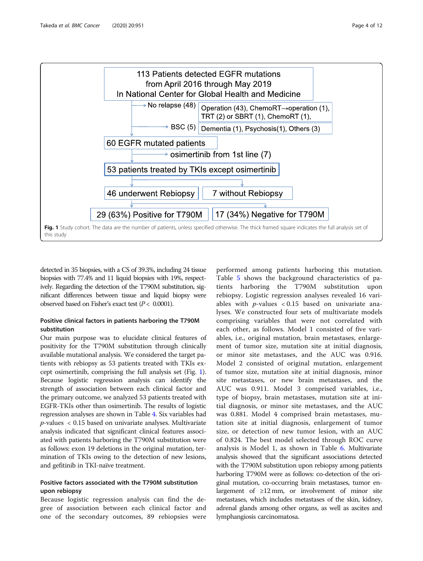<span id="page-3-0"></span>



detected in 35 biopsies, with a CS of 39.3%, including 24 tissue biopsies with 77.4% and 11 liquid biopsies with 19%, respectively. Regarding the detection of the T790M substitution, significant differences between tissue and liquid biopsy were observed based on Fisher's exact test ( $P < 0.0001$ ).

# Positive clinical factors in patients harboring the T790M substitution

Our main purpose was to elucidate clinical features of positivity for the T790M substitution through clinically available mutational analysis. We considered the target patients with rebiopsy as 53 patients treated with TKIs except osimertinib, comprising the full analysis set (Fig. 1). Because logistic regression analysis can identify the strength of association between each clinical factor and the primary outcome, we analyzed 53 patients treated with EGFR-TKIs other than osimertinib. The results of logistic regression analyses are shown in Table [4](#page-6-0). Six variables had  $p$ -values < 0.15 based on univariate analyses. Multivariate analysis indicated that significant clinical features associated with patients harboring the T790M substitution were as follows: exon 19 deletions in the original mutation, termination of TKIs owing to the detection of new lesions, and gefitinib in TKI-naïve treatment.

# Positive factors associated with the T790M substitution upon rebiopsy

Because logistic regression analysis can find the degree of association between each clinical factor and one of the secondary outcomes, 89 rebiopsies were

performed among patients harboring this mutation. Table [5](#page-7-0) shows the background characteristics of patients harboring the T790M substitution upon rebiopsy. Logistic regression analyses revealed 16 variables with  $p$ -values < 0.15 based on univariate analyses. We constructed four sets of multivariate models comprising variables that were not correlated with each other, as follows. Model 1 consisted of five variables, i.e., original mutation, brain metastases, enlargement of tumor size, mutation site at initial diagnosis, or minor site metastases, and the AUC was 0.916. Model 2 consisted of original mutation, enlargement of tumor size, mutation site at initial diagnosis, minor site metastases, or new brain metastases, and the AUC was 0.911. Model 3 comprised variables, i.e., type of biopsy, brain metastases, mutation site at initial diagnosis, or minor site metastases, and the AUC was 0.881. Model 4 comprised brain metastases, mutation site at initial diagnosis, enlargement of tumor size, or detection of new tumor lesion, with an AUC of 0.824. The best model selected through ROC curve analysis is Model 1, as shown in Table [6](#page-8-0). Multivariate analysis showed that the significant associations detected with the T790M substitution upon rebiopsy among patients harboring T790M were as follows: co-detection of the original mutation, co-occurring brain metastases, tumor enlargement of  $\geq 12$  mm, or involvement of minor site metastases, which includes metastases of the skin, kidney, adrenal glands among other organs, as well as ascites and lymphangiosis carcinomatosa.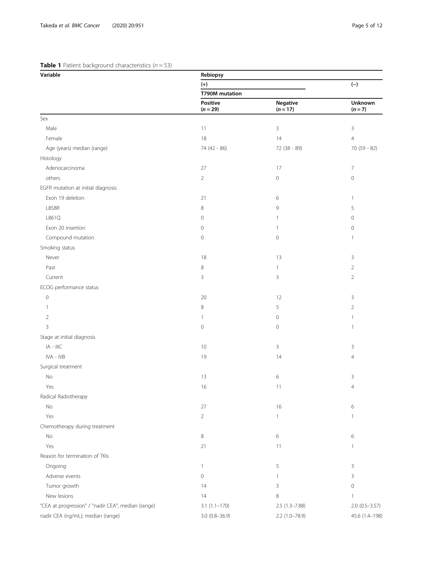# <span id="page-4-0"></span>**Table 1** Patient background characteristics  $(n = 53)$

| $(+)$<br>$(-)$<br>T790M mutation<br><b>Negative</b><br>Unknown<br>Positive<br>$(n = 17)$<br>$(n = 7)$<br>$(n = 29)$<br>Sex<br>Male<br>11<br>3<br>3<br>Female<br>18<br>14<br>$\overline{4}$ |
|--------------------------------------------------------------------------------------------------------------------------------------------------------------------------------------------|
|                                                                                                                                                                                            |
|                                                                                                                                                                                            |
|                                                                                                                                                                                            |
|                                                                                                                                                                                            |
|                                                                                                                                                                                            |
|                                                                                                                                                                                            |
| Age (years) median (range)<br>74 (42 - 86)<br>72 (38 - 89)<br>70 (59 - 82)                                                                                                                 |
| Histology                                                                                                                                                                                  |
| Adenocarcinoma<br>27<br>17<br>7                                                                                                                                                            |
| others<br>$\overline{2}$<br>$\mathsf{O}\xspace$<br>$\mathbf 0$                                                                                                                             |
| EGFR mutation at initial diagnosis                                                                                                                                                         |
| Exon 19 deletion<br>21<br>6<br>1                                                                                                                                                           |
| <b>L858R</b><br>8<br>5<br>9                                                                                                                                                                |
| L861Q<br>0<br>$\mathbf 0$<br>$\mathbf{1}$                                                                                                                                                  |
| Exon 20 insertion<br>0<br>$\mathbf 0$<br>$\mathbf{1}$                                                                                                                                      |
| Compound mutation<br>$\mathbf 0$<br>0<br>1                                                                                                                                                 |
| Smoking status                                                                                                                                                                             |
| Never<br>18<br>13<br>3                                                                                                                                                                     |
| Past<br>$\overline{2}$<br>8<br>$\mathbb{1}$                                                                                                                                                |
| Current<br>$\overline{2}$<br>3<br>3                                                                                                                                                        |
| ECOG performance status                                                                                                                                                                    |
| $\mathbf 0$<br>20<br>12<br>3                                                                                                                                                               |
| 5<br>8<br>$\overline{2}$<br>1                                                                                                                                                              |
| $\mathsf{O}\xspace$<br>2<br>$\mathbf{1}$<br>1                                                                                                                                              |
| 3<br>0<br>$\mathsf{O}\xspace$<br>1                                                                                                                                                         |
| Stage at initial diagnosis                                                                                                                                                                 |
| IA - IIIC<br>10<br>3<br>3                                                                                                                                                                  |
| IVA - IVB<br>19<br>14<br>4                                                                                                                                                                 |
| Surgical treatment                                                                                                                                                                         |
| No<br>13<br>6<br>3                                                                                                                                                                         |
| 16<br>Yes<br>11<br>$\overline{4}$                                                                                                                                                          |
| Radical Radiotherapy                                                                                                                                                                       |
| No<br>27<br>16<br>6                                                                                                                                                                        |
| Yes<br>$\overline{2}$<br>$\mathbb{1}$<br>1                                                                                                                                                 |
| Chemotherapy during treatment                                                                                                                                                              |
| 8<br>No<br>6<br>6                                                                                                                                                                          |
| 21<br>Yes<br>11<br>1                                                                                                                                                                       |
| Reason for termination of TKIs                                                                                                                                                             |
| Ongoing<br>5<br>3<br>$\mathbf{1}$                                                                                                                                                          |
| Adverse events<br>0<br>3<br>1                                                                                                                                                              |
| Tumor growth<br>14<br>3<br>$\mathbb O$                                                                                                                                                     |
| New lesions<br>14<br>8<br>1                                                                                                                                                                |
| "CEA at progression" / "nadir CEA"; median (range)<br>$3.1(1.1 - 170)$<br>$2.5(1.3 - 7.88)$<br>$2.0 (0.5 - 3.57)$                                                                          |
| nadir CEA (ng/mL); median (range)<br>$3.0(0.8 - 36.9)$<br>$2.2$ (1.0-78.9)<br>45.6 (1.4-198)                                                                                               |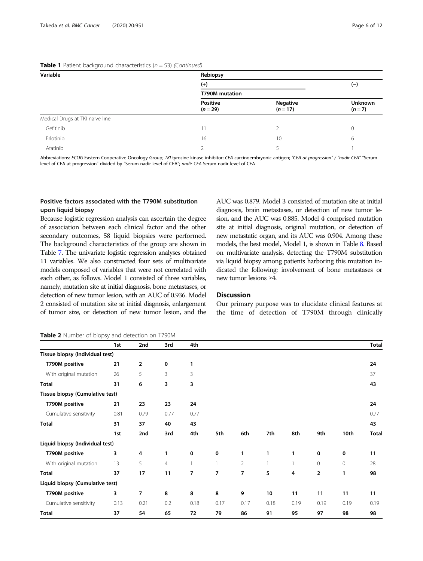#### <span id="page-5-0"></span>**Table 1** Patient background characteristics ( $n = 53$ ) (Continued)

| Variable                        | Rebiopsy                      |                               |                           |  |  |  |
|---------------------------------|-------------------------------|-------------------------------|---------------------------|--|--|--|
|                                 | $(+)$                         | $(-)$                         |                           |  |  |  |
|                                 | T790M mutation                |                               |                           |  |  |  |
|                                 | <b>Positive</b><br>$(n = 29)$ | <b>Negative</b><br>$(n = 17)$ | <b>Unknown</b><br>$(n=7)$ |  |  |  |
| Medical Drugs at TKI naïve line |                               |                               |                           |  |  |  |
| Gefitinib                       |                               |                               | $\mathbf 0$               |  |  |  |
| Erlotinib                       | 16                            | 10                            | 6                         |  |  |  |
| Afatinib                        |                               |                               |                           |  |  |  |

Abbreviations: ECOG Eastern Cooperative Oncology Group; TKI tyrosine kinase inhibitor; CEA carcinoembryonic antigen; "CEA at progression" / "nadir CEA" "Serum level of CEA at progression" divided by "Serum nadir level of CEA"; nadir CEA Serum nadir level of CEA

# Positive factors associated with the T790M substitution upon liquid biopsy

Because logistic regression analysis can ascertain the degree of association between each clinical factor and the other secondary outcomes, 58 liquid biopsies were performed. The background characteristics of the group are shown in Table [7.](#page-9-0) The univariate logistic regression analyses obtained 11 variables. We also constructed four sets of multivariate models composed of variables that were not correlated with each other, as follows. Model 1 consisted of three variables, namely, mutation site at initial diagnosis, bone metastases, or detection of new tumor lesion, with an AUC of 0.936. Model 2 consisted of mutation site at initial diagnosis, enlargement of tumor size, or detection of new tumor lesion, and the

AUC was 0.879. Model 3 consisted of mutation site at initial diagnosis, brain metastases, or detection of new tumor lesion, and the AUC was 0.885. Model 4 comprised mutation site at initial diagnosis, original mutation, or detection of new metastatic organ, and its AUC was 0.904. Among these models, the best model, Model 1, is shown in Table [8](#page-10-0). Based on multivariate analysis, detecting the T790M substitution via liquid biopsy among patients harboring this mutation indicated the following: involvement of bone metastases or new tumor lesions ≥4.

## **Discussion**

Our primary purpose was to elucidate clinical features at the time of detection of T790M through clinically

#### Table 2 Number of biopsy and detection on T790M

|                                 | 1st  | 2nd            | 3rd  | 4th  |      |      |      |      |                |             | <b>Total</b> |
|---------------------------------|------|----------------|------|------|------|------|------|------|----------------|-------------|--------------|
| Tissue biopsy (Individual test) |      |                |      |      |      |      |      |      |                |             |              |
| T790M positive                  | 21   | $\overline{2}$ | 0    | 1    |      |      |      |      |                |             | 24           |
| With original mutation          | 26   | 5              | 3    | 3    |      |      |      |      |                |             | 37           |
| <b>Total</b>                    | 31   | 6              | 3    | 3    |      |      |      |      |                |             | 43           |
| Tissue biopsy (Cumulative test) |      |                |      |      |      |      |      |      |                |             |              |
| T790M positive                  | 21   | 23             | 23   | 24   |      |      |      |      |                |             | 24           |
| Cumulative sensitivity          | 0.81 | 0.79           | 0.77 | 0.77 |      |      |      |      |                |             | 0.77         |
| <b>Total</b>                    | 31   | 37             | 40   | 43   |      |      |      |      |                |             | 43           |
|                                 | 1st  | 2nd            | 3rd  | 4th  | 5th  | 6th  | 7th  | 8th  | 9th            | 10th        | <b>Total</b> |
| Liquid biopsy (Individual test) |      |                |      |      |      |      |      |      |                |             |              |
| T790M positive                  | 3    | 4              | 1    | 0    | 0    | 1    | 1    | 1    | 0              | 0           | 11           |
| With original mutation          | 13   | 5              | 4    | 1    | 1    | 2    | 1    | 1    | $\circ$        | $\mathbf 0$ | 28           |
| <b>Total</b>                    | 37   | 17             | 11   | 7    | 7    | 7    | 5    | 4    | $\overline{2}$ | 1           | 98           |
| Liquid biopsy (Cumulative test) |      |                |      |      |      |      |      |      |                |             |              |
| T790M positive                  | 3    | 7              | 8    | 8    | 8    | 9    | 10   | 11   | 11             | 11          | 11           |
| Cumulative sensitivity          | 0.13 | 0.21           | 0.2  | 0.18 | 0.17 | 0.17 | 0.18 | 0.19 | 0.19           | 0.19        | 0.19         |
| <b>Total</b>                    | 37   | 54             | 65   | 72   | 79   | 86   | 91   | 95   | 97             | 98          | 98           |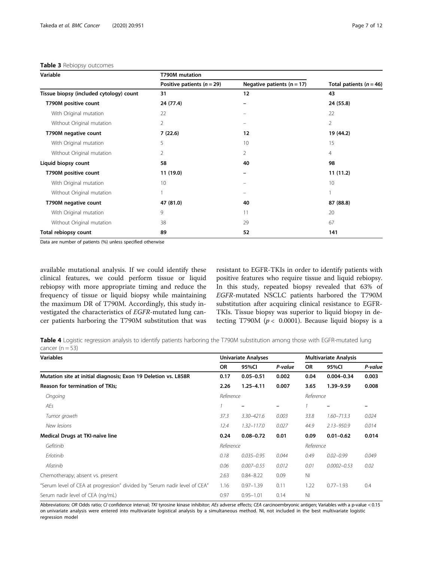## <span id="page-6-0"></span>Table 3 Rebiopsy outcomes

| Variable                                | <b>T790M</b> mutation        |                              |                             |  |
|-----------------------------------------|------------------------------|------------------------------|-----------------------------|--|
|                                         | Positive patients $(n = 29)$ | Negative patients $(n = 17)$ | Total patients ( $n = 46$ ) |  |
| Tissue biopsy (included cytology) count | 31                           | 12                           | 43                          |  |
| T790M positive count                    | 24 (77.4)                    |                              | 24 (55.8)                   |  |
| With Original mutation                  | 22                           |                              | 22                          |  |
| Without Original mutation               | 2                            |                              | 2                           |  |
| T790M negative count                    | 7(22.6)                      | 12                           | 19 (44.2)                   |  |
| With Original mutation                  | 5                            | 10                           | 15                          |  |
| Without Original mutation               | 2                            | 2                            | $\overline{4}$              |  |
| Liquid biopsy count                     | 58                           | 40                           | 98                          |  |
| T790M positive count                    | 11 (19.0)                    | $\overline{\phantom{0}}$     | 11 (11.2)                   |  |
| With Original mutation                  | 10                           |                              | 10                          |  |
| Without Original mutation               |                              | $\equiv$                     |                             |  |
| T790M negative count                    | 47 (81.0)                    | 40                           | 87 (88.8)                   |  |
| With Original mutation                  | 9                            | 11                           | 20                          |  |
| Without Original mutation               | 38                           | 29                           | 67                          |  |
| Total rebiopsy count                    | 89                           | 52                           | 141                         |  |

Data are number of patients (%) unless specified otherwise

available mutational analysis. If we could identify these clinical features, we could perform tissue or liquid rebiopsy with more appropriate timing and reduce the frequency of tissue or liquid biopsy while maintaining the maximum DR of T790M. Accordingly, this study investigated the characteristics of EGFR-mutated lung cancer patients harboring the T790M substitution that was

resistant to EGFR-TKIs in order to identify patients with positive features who require tissue and liquid rebiopsy. In this study, repeated biopsy revealed that 63% of EGFR-mutated NSCLC patients harbored the T790M substitution after acquiring clinical resistance to EGFR-TKIs. Tissue biopsy was superior to liquid biopsy in detecting T790M ( $p < 0.0001$ ). Because liquid biopsy is a

Table 4 Logistic regression analysis to identify patients harboring the T790M substitution among those with EGFR-mutated lung cancer ( $n = 53$ )

| <b>Variables</b>                                                          |           | <b>Univariate Analyses</b> |         | <b>Multivariate Analysis</b> |                 |         |
|---------------------------------------------------------------------------|-----------|----------------------------|---------|------------------------------|-----------------|---------|
|                                                                           | <b>OR</b> | 95%CI                      | P-value | <b>OR</b>                    | 95%Cl           | P-value |
| Mutation site at initial diagnosis; Exon 19 Deletion vs. L858R            | 0.17      | $0.05 - 0.51$              | 0.002   | 0.04                         | $0.004 - 0.34$  | 0.003   |
| Reason for termination of TKIs;                                           | 2.26      | $1.25 - 4.11$              | 0.007   | 3.65                         | 1.39-9.59       | 0.008   |
| Ongoing                                                                   | Reference |                            |         | Reference                    |                 |         |
| AEs                                                                       |           | $\overline{\phantom{0}}$   |         |                              |                 | -       |
| Tumor growth                                                              | 37.3      | $3.30 - 421.6$             | 0.003   | 33.8                         | $1.60 - 713.3$  | 0.024   |
| New lesions                                                               | 12.4      | 1.32–117.0                 | 0.027   | 44.9                         | $2.13 - 950.9$  | 0.014   |
| Medical Drugs at TKI-naïve line                                           | 0.24      | $0.08 - 0.72$              | 0.01    | 0.09                         | $0.01 - 0.62$   | 0.014   |
| Gefitinib                                                                 | Reference |                            |         | Reference                    |                 |         |
| Erlotinib                                                                 | 0.18      | $0.035 - 0.95$             | 0.044   | 0.49                         | $0.02 - 0.99$   | 0.049   |
| Afatinib                                                                  | 0.06      | $0.007 - 0.55$             | 0.012   | 0.01                         | $0.0002 - 0.53$ | 0.02    |
| Chemotherapy; absent vs. present                                          | 2.63      | $0.84 - 8.22$              | 0.09    | N <sub>1</sub>               |                 |         |
| "Serum level of CEA at progression" divided by "Serum nadir level of CEA" | 1.16      | $0.97 - 1.39$              | 0.11    | 1.22                         | $0.77 - 1.93$   | 0.4     |
| Serum nadir level of CEA (ng/mL)                                          | 0.97      | $0.95 - 1.01$              | 0.14    | N <sub>l</sub>               |                 |         |

Abbreviations: OR Odds ratio; CI confidence interval; TKI tyrosine kinase inhibitor; AEs adverse effects; CEA carcinoembryonic antigen; Variables with a p-value < 0.15 on univariate analysis were entered into multivariate logistical analysis by a simultaneous method. NI, not included in the best multivariate logistic regression model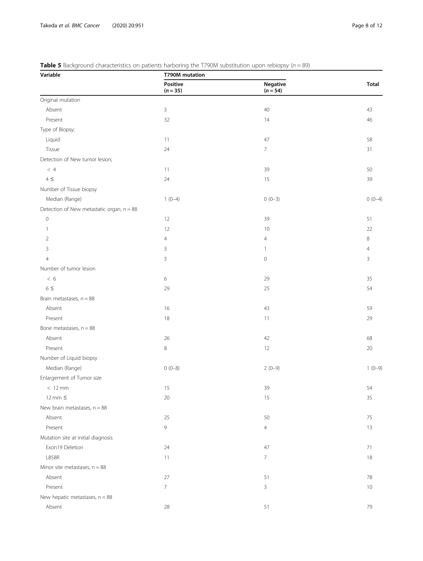# <span id="page-7-0"></span>**Table 5** Background characteristics on patients harboring the T790M substitution upon rebiopsy ( $n = 89$ )

| Variable                                    | T790M mutation         |                               |                |  |  |  |
|---------------------------------------------|------------------------|-------------------------------|----------------|--|--|--|
|                                             | Positive<br>$(n = 35)$ | <b>Negative</b><br>$(n = 54)$ | <b>Total</b>   |  |  |  |
| Original mutation                           |                        |                               |                |  |  |  |
| Absent                                      | 3                      | 40                            | 43             |  |  |  |
| Present                                     | 32                     | 14                            | 46             |  |  |  |
| Type of Biopsy;                             |                        |                               |                |  |  |  |
| Liquid                                      | 11                     | $47\,$                        | 58             |  |  |  |
| Tissue                                      | 24                     | $\overline{7}$                | 31             |  |  |  |
| Detection of New tumor lesion;              |                        |                               |                |  |  |  |
| $<\,4$                                      | 11                     | 39                            | 50             |  |  |  |
| $4\leq$                                     | 24                     | 15                            | 39             |  |  |  |
| Number of Tissue biopsy                     |                        |                               |                |  |  |  |
| Median (Range)                              | $1(0-4)$               | $0(0-3)$                      | $0(0-4)$       |  |  |  |
| Detection of New metastatic organ, $n = 88$ |                        |                               |                |  |  |  |
| $\mathsf{O}\xspace$                         | 12                     | 39                            | 51             |  |  |  |
| $\mathbf{1}$                                | 12                     | 10                            | 22             |  |  |  |
| $\overline{2}$                              | $\overline{4}$         | $\overline{4}$                | 8              |  |  |  |
| 3                                           | 3                      | $\mathbf{1}$                  | $\overline{4}$ |  |  |  |
| $\overline{4}$                              | 3                      | $\mathbf 0$                   | $\overline{3}$ |  |  |  |
| Number of tumor lesion                      |                        |                               |                |  |  |  |
| < 6                                         | $\,$ 6 $\,$            | 29                            | 35             |  |  |  |
| $6\leq$                                     | 29                     | 25                            | 54             |  |  |  |
| Brain metastases, $n = 88$                  |                        |                               |                |  |  |  |
| Absent                                      | 16                     | 43                            | 59             |  |  |  |
| Present                                     | 18                     | 11                            | 29             |  |  |  |
| Bone metastases, $n = 88$                   |                        |                               |                |  |  |  |
| Absent                                      | 26                     | 42                            | 68             |  |  |  |
| Present                                     | 8                      | 12                            | $20\,$         |  |  |  |
| Number of Liquid biopsy                     |                        |                               |                |  |  |  |
| Median (Range)                              | $0(0-8)$               | $2(0-9)$                      | $1(0-9)$       |  |  |  |
| Enlargement of Tumor size                   |                        |                               |                |  |  |  |
| $< 12$ mm                                   | 15                     | 39                            | 54             |  |  |  |
| $12 \text{ mm} \leq$                        | 20                     | 15                            | 35             |  |  |  |
| New brain metastases, $n = 88$              |                        |                               |                |  |  |  |
| Absent                                      | 25                     | 50                            | $75\,$         |  |  |  |
| Present                                     | 9                      | $\overline{4}$                | $13$           |  |  |  |
| Mutation site at initial diagnosis          |                        |                               |                |  |  |  |
| Exon19 Deletion                             | 24                     | 47                            | 71             |  |  |  |
| L858R                                       | 11                     | $\overline{7}$                | $18\,$         |  |  |  |
| Minor site metastases, $n = 88$             |                        |                               |                |  |  |  |
| Absent                                      | 27                     | 51                            | 78             |  |  |  |
| Present                                     | $\overline{7}$         | 3                             | $10\,$         |  |  |  |
| New hepatic metastases, $n = 88$            |                        |                               |                |  |  |  |
| Absent                                      | $28\,$                 | 51                            | 79             |  |  |  |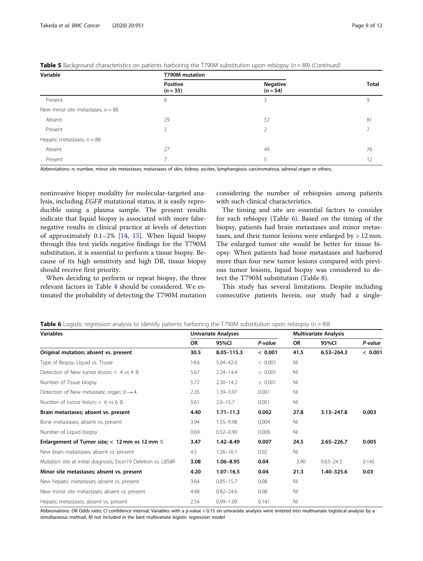| Variable                            | T790M mutation         |                               |              |
|-------------------------------------|------------------------|-------------------------------|--------------|
|                                     | Positive<br>$(n = 35)$ | <b>Negative</b><br>$(n = 54)$ | <b>Total</b> |
| Present                             | 6                      |                               | 9            |
| New minor site metastases, $n = 88$ |                        |                               |              |
| Absent                              | 29                     | 52                            | 81           |
| Present                             | 5                      | $\mathfrak{D}$                |              |
| Hepatic metastases, $n = 88$        |                        |                               |              |
| Absent                              | 27                     | 49                            | 76           |
| Present                             |                        | 5                             | 12           |

<span id="page-8-0"></span>

| <b>Table 5</b> Background characteristics on patients harboring the T790M substitution upon rebiopsy ( $n = 89$ ) (Continued) |  |  |
|-------------------------------------------------------------------------------------------------------------------------------|--|--|
|                                                                                                                               |  |  |

Abbreviations: n; number, minor site metastases; metastases of skin, kidney, ascites, lymphangiosis carcinomatosa, adrenal organ or others,

noninvasive biopsy modality for molecular-targeted analysis, including EGFR mutational status, it is easily reproducible using a plasma sample. The present results indicate that liquid biopsy is associated with more falsenegative results in clinical practice at levels of detection of approximately  $0.1-2\%$  [[14,](#page-11-0) [15](#page-11-0)]. When liquid biopsy through this test yields negative findings for the T790M substitution, it is essential to perform a tissue biopsy. Because of its high sensitivity and high DR, tissue biopsy should receive first priority.

When deciding to perform or repeat biopsy, the three relevant factors in Table [4](#page-6-0) should be considered. We estimated the probability of detecting the T790M mutation considering the number of rebiopsies among patients with such clinical characteristics.

The timing and site are essential factors to consider for each rebiopsy (Table 6). Based on the timing of the biopsy, patients had brain metastases and minor metastases, and their tumor lesions were enlarged by  $> 12$  mm. The enlarged tumor site would be better for tissue biopsy. When patients had bone metastases and harbored more than four new tumor lesions compared with previous tumor lesions, liquid biopsy was considered to detect the T790M substitution (Table [8](#page-10-0)).

This study has several limitations. Despite including consecutive patients herein, our study had a single-

| <b>Variables</b>                                              |      | <b>Univariate Analyses</b> |         | <b>Multivariate Analysis</b> |                |         |  |
|---------------------------------------------------------------|------|----------------------------|---------|------------------------------|----------------|---------|--|
|                                                               | OR   | 95%CI                      | P-value | OR                           | 95%CI          | P-value |  |
| Original mutation; absent vs. present                         | 30.5 | $8.05 - 115.3$             | < 0.001 | 41.5                         | $6.53 - 264.3$ | < 0.001 |  |
| Type of Biopsy; Liquid vs. Tissue                             | 14.6 | $5.04 - 42.6$              | < 0.001 | N <sub>l</sub>               |                |         |  |
| Detection of New tumor lesion; $<$ 4 vs 4 $\le$               | 5.67 | $2.24 - 14.4$              | < 0.001 | N <sub>1</sub>               |                |         |  |
| Number of Tissue biopsy                                       | 5.72 | $2.30 - 14.2$              | < 0.001 | N <sub>1</sub>               |                |         |  |
| Detection of New metastatic organ; $0 \rightarrow 4$          | 2.35 | 1.39-3.97                  | 0.001   | N <sub>l</sub>               |                |         |  |
| Number of tumor lesion; < 6 vs $6 \le$                        | 5.61 | $2.0 - 15.7$               | 0.001   | N <sub>1</sub>               |                |         |  |
| Brain metastases; absent vs. present                          | 4.40 | $1.71 - 11.3$              | 0.002   | 27.8                         | $3.13 - 247.8$ | 0.003   |  |
| Bone metastases; absent vs. present                           | 3.94 | $1.55 - 9.98$              | 0.004   | N <sub>1</sub>               |                |         |  |
| Number of Liquid biopsy                                       | 0.69 | $0.52 - 0.90$              | 0.006   | N <sub>l</sub>               |                |         |  |
| Enlargement of Tumor size; $<$ 12 mm vs 12 mm $\le$           | 3.47 | $1.42 - 8.49$              | 0.007   | 24.5                         | $2.65 - 226.7$ | 0.005   |  |
| New brain metastases; absent vs. present                      | 4.5  | $1.26 - 16.1$              | 0.02    | N <sub>l</sub>               |                |         |  |
| Mutation site at initial diagnosis; Exon19 Deletion vs. L858R | 3.08 | $1.06 - 8.95$              | 0.04    | 3.90                         | $0.63 - 24.3$  | 0.145   |  |
| Minor site metastases; absent vs. present                     | 4.20 | $1.07 - 16.5$              | 0.04    | 21.3                         | 1.40-325.6     | 0.03    |  |
| New hepatic metastases; absent vs. present                    | 3.64 | $0.85 - 15.7$              | 0.08    | N <sub>l</sub>               |                |         |  |
| New minor site metastases; absent vs. present                 | 4.48 | $0.82 - 24.6$              | 0.08    | N <sub>1</sub>               |                |         |  |
| Hepatic metastases; absent vs. present                        | 2.54 | $0.99 - 1.09$              | 0.141   | N <sub>1</sub>               |                |         |  |

**Table 6** Logistic regression analysis to identify patients harboring the T790M substitution upon rebiopsy ( $n = 89$ )

Abbreviations: OR Odds ratio; CI confidence interval; Variables with a p-value < 0.15 on univariate analysis were entered into multivariate logistical analysis by a simultaneous method. NI not included in the best multivariate logistic regression model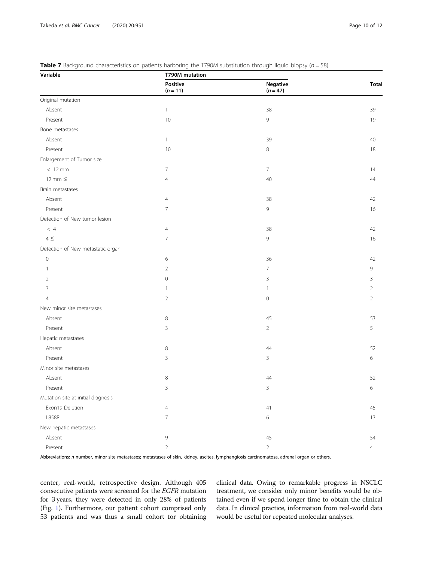| Variable                           | T790M mutation         |                        |                |
|------------------------------------|------------------------|------------------------|----------------|
|                                    | Positive<br>$(n = 11)$ | Negative<br>$(n = 47)$ | <b>Total</b>   |
| Original mutation                  |                        |                        |                |
| Absent                             | $\mathbf{1}$           | 38                     | 39             |
| Present                            | 10                     | 9                      | 19             |
| Bone metastases                    |                        |                        |                |
| Absent                             | $\overline{1}$         | 39                     | 40             |
| Present                            | 10                     | 8                      | 18             |
| Enlargement of Tumor size          |                        |                        |                |
| $< 12$ mm                          | 7                      | $\overline{7}$         | 14             |
| $12 \text{ mm} \leq$               | $\overline{4}$         | 40                     | 44             |
| Brain metastases                   |                        |                        |                |
| Absent                             | $\overline{4}$         | 38                     | 42             |
| Present                            | $\overline{7}$         | 9                      | 16             |
| Detection of New tumor lesion      |                        |                        |                |
| $<\,4$                             | $\overline{4}$         | 38                     | 42             |
| $4\leq$                            | $\overline{7}$         | 9                      | 16             |
| Detection of New metastatic organ  |                        |                        |                |
| $\mathbf 0$                        | 6                      | 36                     | 42             |
| -1                                 | $\overline{2}$         | $\overline{7}$         | 9              |
| $\overline{2}$                     | $\mathbb O$            | 3                      | 3              |
| 3                                  | $\mathbf{1}$           | 1                      | 2              |
| $\overline{4}$                     | $\overline{2}$         | $\mathsf{O}\xspace$    | $\overline{2}$ |
| New minor site metastases          |                        |                        |                |
| Absent                             | $\,8\,$                | 45                     | 53             |
| Present                            | 3                      | $\overline{2}$         | 5              |
| Hepatic metastases                 |                        |                        |                |
| Absent                             | 8                      | 44                     | 52             |
| Present                            | 3                      | 3                      | 6              |
| Minor site metastases              |                        |                        |                |
| Absent                             | 8                      | 44                     | 52             |
| Present                            | 3                      | $\mathsf{3}$           | 6              |
| Mutation site at initial diagnosis |                        |                        |                |
| Exon19 Deletion                    | $\overline{4}$         | $41\,$                 | $45\,$         |
| L858R                              | $\overline{7}$         | $\epsilon$             | 13             |
| New hepatic metastases             |                        |                        |                |
| Absent                             | 9                      | $45\,$                 | 54             |
| Present                            | $\sqrt{2}$             | $\overline{2}$         | $\overline{4}$ |

## <span id="page-9-0"></span>**Table 7** Background characteristics on patients harboring the T790M substitution through liquid biopsy ( $n = 58$ )

Abbreviations: n number, minor site metastases; metastases of skin, kidney, ascites, lymphangiosis carcinomatosa, adrenal organ or others,

center, real-world, retrospective design. Although 405 consecutive patients were screened for the EGFR mutation for 3 years, they were detected in only 28% of patients (Fig. [1\)](#page-3-0). Furthermore, our patient cohort comprised only 53 patients and was thus a small cohort for obtaining clinical data. Owing to remarkable progress in NSCLC treatment, we consider only minor benefits would be obtained even if we spend longer time to obtain the clinical data. In clinical practice, information from real-world data would be useful for repeated molecular analyses.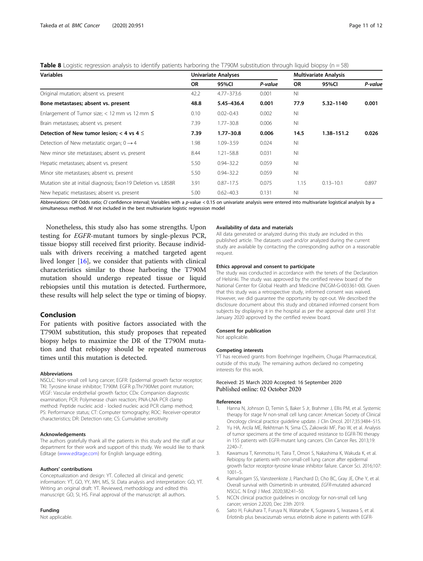<span id="page-10-0"></span>**Table 8** Logistic regression analysis to identify patients harboring the T790M substitution through liquid biopsy ( $n = 58$ )

| <b>Variables</b>                                              | <b>Univariate Analyses</b> |                |         |                | <b>Multivariate Analysis</b> |         |  |
|---------------------------------------------------------------|----------------------------|----------------|---------|----------------|------------------------------|---------|--|
|                                                               | <b>OR</b>                  | 95%CI          | P-value | <b>OR</b>      | 95%CI                        | P-value |  |
| Original mutation; absent vs. present                         | 42.2                       | $4.77 - 373.6$ | 0.001   | N <sub>1</sub> |                              |         |  |
| Bone metastases; absent vs. present                           | 48.8                       | 5.45-436.4     | 0.001   | 77.9           | 5.32-1140                    | 0.001   |  |
| Enlargement of Tumor size; $<$ 12 mm vs 12 mm $\le$           | 0.10                       | $0.02 - 0.43$  | 0.002   | N <sub>l</sub> |                              |         |  |
| Brain metastases; absent vs. present                          | 7.39                       | $1.77 - 30.8$  | 0.006   | N <sub>1</sub> |                              |         |  |
| Detection of New tumor lesion; $<$ 4 vs 4 $\le$               | 7.39                       | $1.77 - 30.8$  | 0.006   | 14.5           | 1.38-151.2                   | 0.026   |  |
| Detection of New metastatic organ; $0 \rightarrow 4$          | 1.98                       | $1.09 - 3.59$  | 0.024   | N <sub>l</sub> |                              |         |  |
| New minor site metastases; absent vs. present                 | 8.44                       | $1.21 - 58.8$  | 0.031   | N <sub>l</sub> |                              |         |  |
| Hepatic metastases; absent vs. present                        | 5.50                       | $0.94 - 32.2$  | 0.059   | N <sub>1</sub> |                              |         |  |
| Minor site metastases; absent vs. present                     | 5.50                       | $0.94 - 32.2$  | 0.059   | N <sub>l</sub> |                              |         |  |
| Mutation site at initial diagnosis; Exon19 Deletion vs. L858R | 3.91                       | $0.87 - 17.5$  | 0.075   | 1.15           | $0.13 - 10.1$                | 0.897   |  |
| New hepatic metastases; absent vs. present                    | 5.00                       | $0.62 - 40.3$  | 0.131   | N <sub>1</sub> |                              |         |  |

Abbreviations: OR Odds ratio; CI confidence interval; Variables with a p-value < 0.15 on univariate analysis were entered into multivariate logistical analysis by a simultaneous method. NI not included in the best multivariate logistic regression model

Nonetheless, this study also has some strengths. Upon testing for EGFR-mutant tumors by single-plexus PCR, tissue biopsy still received first priority. Because individuals with drivers receiving a matched targeted agent lived longer [\[16](#page-11-0)], we consider that patients with clinical characteristics similar to those harboring the T790M mutation should undergo repeated tissue or liquid rebiopsies until this mutation is detected. Furthermore, these results will help select the type or timing of biopsy.

#### Conclusion

For patients with positive factors associated with the T790M substitution, this study proposes that repeated biopsy helps to maximize the DR of the T790M mutation and that rebiopsy should be repeated numerous times until this mutation is detected.

#### Abbreviations

NSCLC: Non-small cell lung cancer; EGFR: Epidermal growth factor receptor; TKI: Tyrosine kinase inhibitor; T790M: EGFR p.Thr790Met point mutation; VEGF: Vascular endothelial growth factor; CDx: Companion diagnostic examination; PCR: Polymerase chain reaction; PNA-LNA PCR clamp method: Peptide nucleic acid - locked nucleic acid PCR clamp method; PS: Performance status; CT: Computer tomography; ROC: Receiver-operator characteristics; DR: Detection rate; CS: Cumulative sensitivity

#### Acknowledgements

The authors gratefully thank all the patients in this study and the staff at our department for their work and support of this study. We would like to thank Editage [\(www.editage.com\)](http://www.editage.com/) for English language editing.

#### Authors' contributions

Conceptualization and design: YT. Collected all clinical and genetic information: YT, GO, YY, MH, MS, SI. Data analysis and interpretation: GO, YT. Writing an original draft: YT. Reviewed, methodology and edited this manuscript: GO, SI, HS. Final approval of the manuscript: all authors.

#### Funding

Not applicable.

#### Availability of data and materials

All data generated or analyzed during this study are included in this published article. The datasets used and/or analyzed during the current study are available by contacting the corresponding author on a reasonable request.

#### Ethics approval and consent to participate

The study was conducted in accordance with the tenets of the Declaration of Helsinki. The study was approved by the certified review board of the National Center for Global Health and Medicine (NCGM-G-003361-00). Given that this study was a retrospective study, informed consent was waived. However, we did guarantee the opportunity by opt-out. We described the disclosure document about this study and obtained informed consent from subjects by displaying it in the hospital as per the approval date until 31st January 2020 approved by the certified review board.

#### Consent for publication

Not applicable.

#### Competing interests

YT has received grants from Boehringer Ingelheim, Chugai Pharmaceutical, outside of this study. The remaining authors declared no competing interests for this work.

#### Received: 25 March 2020 Accepted: 16 September 2020 Published online: 02 October 2020

#### References

- 1. Hanna N, Johnson D, Temin S, Baker S Jr, Brahmer J, Ellis PM, et al. Systemic therapy for stage IV non-small cell lung cancer: American Society of Clinical Oncology clinical practice guideline update. J Clin Oncol. 2017;35:3484–515.
- 2. Yu HA, Arcila ME, Rekhtman N, Sima CS, Zakowski MF, Pao W, et al. Analysis of tumor specimens at the time of acquired resistance to EGFR-TKI therapy in 155 patients with EGFR-mutant lung cancers. Clin Cancer Res. 2013;19: 2240–7.
- 3. Kawamura T, Kenmotsu H, Taira T, Omori S, Nakashima K, Wakuda K, et al. Rebiopsy for patients with non-small-cell lung cancer after epidermal growth factor receptor-tyrosine kinase inhibitor failure. Cancer Sci. 2016;107: 1001–5.
- 4. Ramalingam SS, Vansteenkiste J, Planchard D, Cho BC, Gray JE, Ohe Y, et al. Overall survival with Osimertinib in untreated, EGFR-mutated advanced NSCLC. N Engl J Med. 2020;382:41–50.
- 5. NCCN clinical practice guidelines in oncology for non-small cell lung cancer; version 2.2020, Dec 23th 2019.
- 6. Saito H, Fukuhara T, Furuya N, Watanabe K, Sugawara S, Iwasawa S, et al. Erlotinib plus bevacizumab versus erlotinib alone in patients with EGFR-